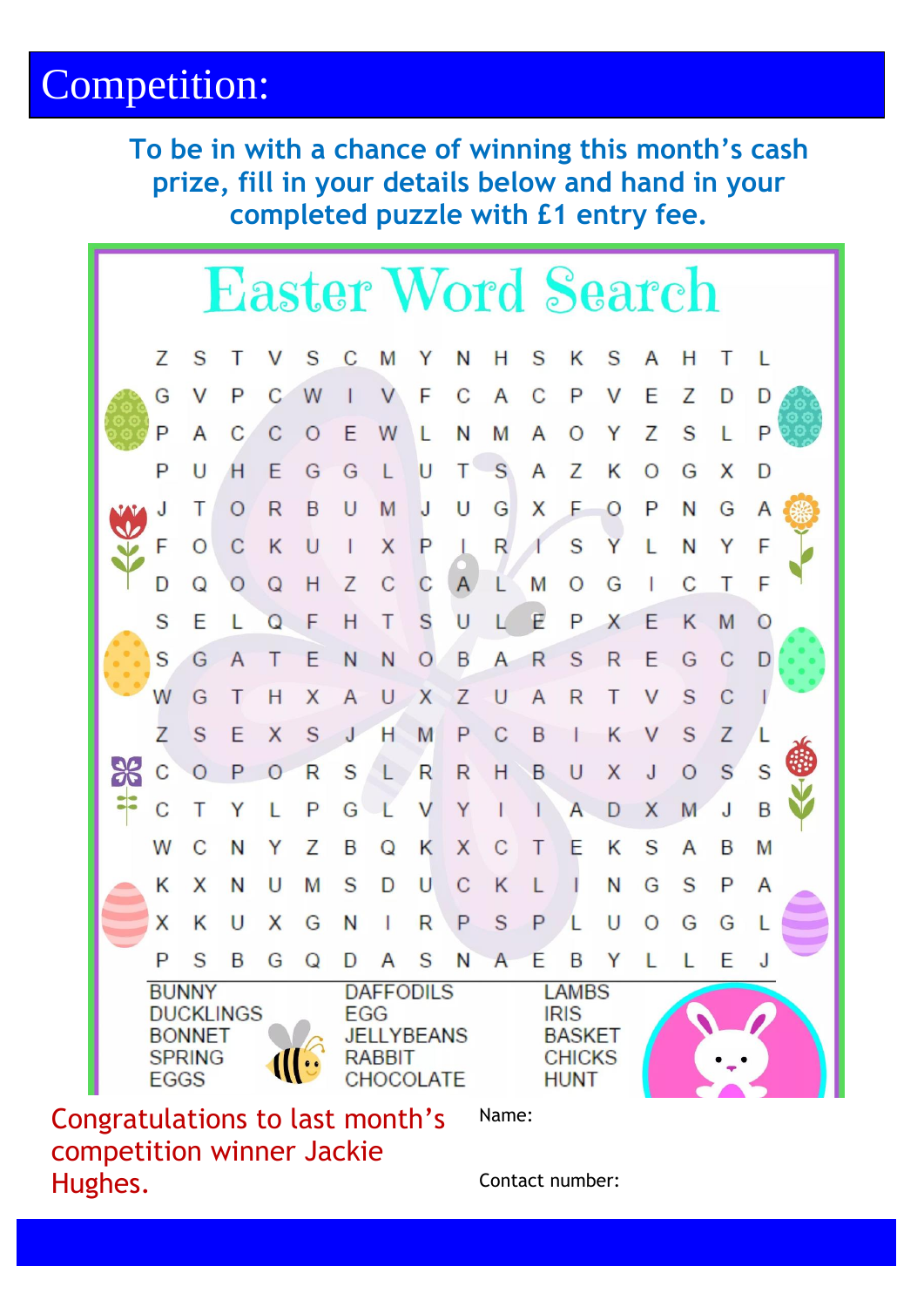# Competition:

**To be in with a chance of winning this month's cash prize, fill in your details below and hand in your completed puzzle with £1 entry fee.**

| <b>Easter Word Search</b>                                                  |          |   |   |                                                                                                                          |   |     |         |                                                                              |   |                |   |   |              |     |    |   |  |
|----------------------------------------------------------------------------|----------|---|---|--------------------------------------------------------------------------------------------------------------------------|---|-----|---------|------------------------------------------------------------------------------|---|----------------|---|---|--------------|-----|----|---|--|
| Z                                                                          | S        |   |   |                                                                                                                          |   |     | Y       | N                                                                            | н | S              | κ | S |              |     |    |   |  |
| G                                                                          | v        |   |   | W                                                                                                                        |   | V   | F       | С                                                                            | A |                | P | V | E            | Z   | I) | D |  |
| P                                                                          | A        |   |   |                                                                                                                          | E | W   |         | N                                                                            | М | A              |   | Y | Z            | S   |    | P |  |
| P                                                                          | U        | н | F | G                                                                                                                        | G |     | U       | Τ                                                                            | S | A              | 7 | K |              | G   | x  | D |  |
|                                                                            | т        |   | R | B                                                                                                                        | U | M   |         | U                                                                            | G | X              | F | O | P            | N   | G  | A |  |
|                                                                            | $\Omega$ |   | K |                                                                                                                          |   | X   |         |                                                                              | R |                | S |   |              | N   | Y  | F |  |
| D                                                                          | Q        |   | Q | H                                                                                                                        | 7 |     |         |                                                                              |   | M              |   | G |              |     |    | F |  |
| S                                                                          | E        |   |   | F                                                                                                                        | Н | Τ   | S       | U                                                                            |   | E              | P | X | F            | K   | M  |   |  |
| S                                                                          | G        | A |   | F                                                                                                                        | N | N   | $\circ$ | B                                                                            | Α | R              | S | R | F            | G   |    |   |  |
| W                                                                          | G        |   | н | X                                                                                                                        | A | U   | X       | 7                                                                            | П | $\overline{A}$ | R |   |              | S   |    |   |  |
| Ζ                                                                          | S        | F | X | S                                                                                                                        | J | н   | M       | Ρ                                                                            |   | В              |   |   |              |     | Z  |   |  |
| С                                                                          |          |   |   | R                                                                                                                        | S |     | R       | $\mathsf{R}$                                                                 | H | B              | U | X | J            |     | S  | S |  |
|                                                                            |          |   |   | P                                                                                                                        | G |     |         | Y                                                                            |   |                | A | D | X            | M   | J  | B |  |
| W                                                                          |          |   |   | 7                                                                                                                        | B |     | Κ       | X                                                                            | C | т              | Е | K | S            | A   | B  | М |  |
| Κ                                                                          | X        | N |   | M                                                                                                                        | S |     | U       | C                                                                            | Κ |                |   | N | G            | S   | P  | A |  |
| X                                                                          | Κ        |   | x | G                                                                                                                        |   |     | R       | Ρ                                                                            | S |                |   |   |              | G   | G  |   |  |
| P                                                                          | S        |   |   | B G Q                                                                                                                    |   | D A |         |                                                                              |   | S N A E B Y    |   |   | $\mathsf{L}$ | - L | E  | J |  |
| <b>BUNNY</b><br><b>DUCKLINGS</b><br><b>BONNET</b><br><b>SPRING</b><br>EGGS |          |   |   | <b>DAFFODILS</b><br>EGG<br><b>JELLYBEANS</b><br><b>RABBIT</b><br><b>CHOCOLATE</b><br>naratulations to last month's Name: |   |     |         | <b>LAMBS</b><br><b>IRIS</b><br><b>BASKET</b><br><b>CHICKS</b><br><b>HUNT</b> |   |                |   |   |              |     |    |   |  |

Congratulations to last month's competition winner Jackie Hughes.

.

Contact number: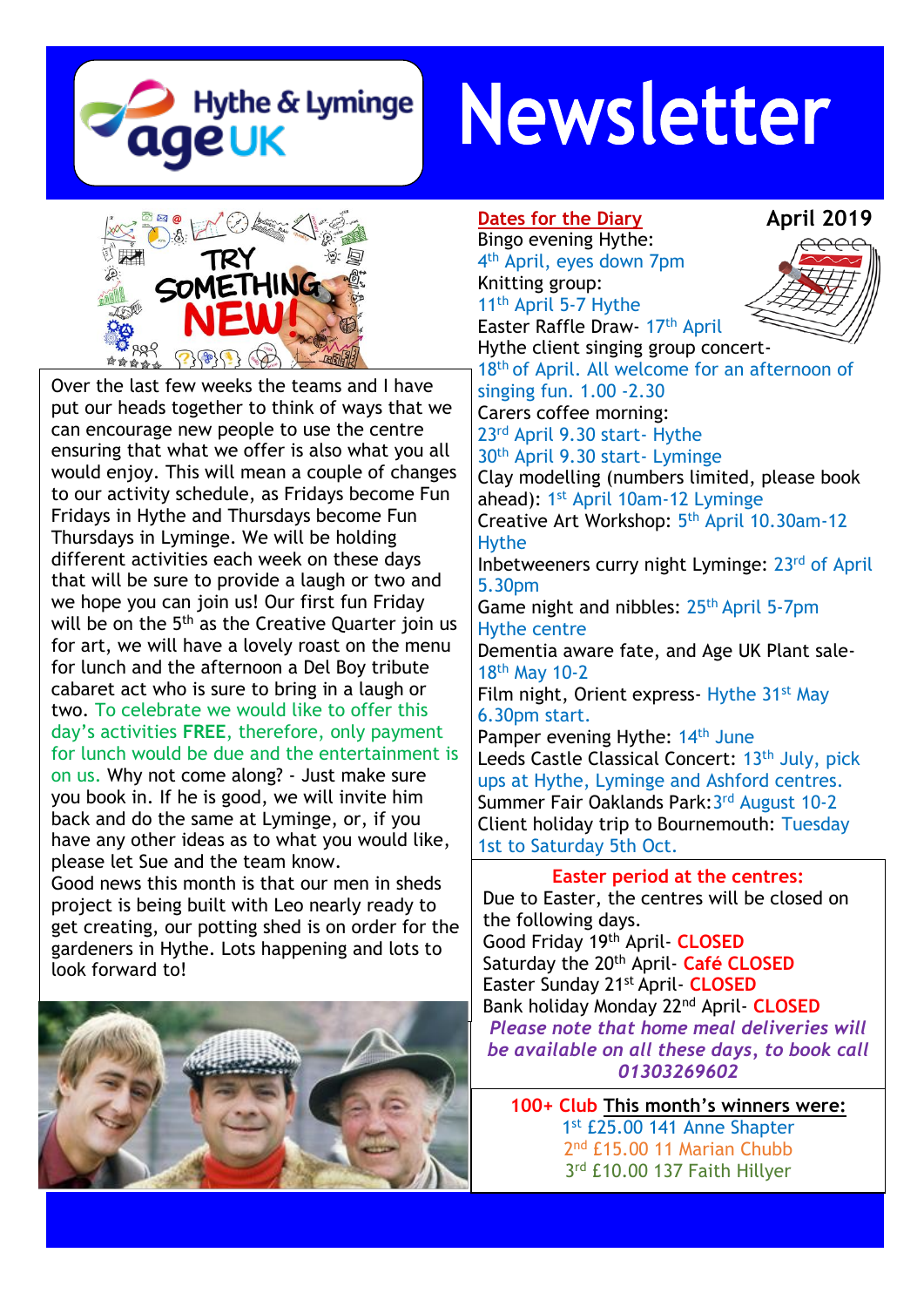

# **Newsletter**



Over the last few weeks the teams and I have put our heads together to think of ways that we can encourage new people to use the centre ensuring that what we offer is also what you all would enjoy. This will mean a couple of changes to our activity schedule, as Fridays become Fun Fridays in Hythe and Thursdays become Fun Thursdays in Lyminge. We will be holding different activities each week on these days that will be sure to provide a laugh or two and we hope you can join us! Our first fun Friday will be on the 5<sup>th</sup> as the Creative Quarter join us for art, we will have a lovely roast on the menu for lunch and the afternoon a Del Boy tribute cabaret act who is sure to bring in a laugh or two. To celebrate we would like to offer this day's activities **FREE**, therefore, only payment for lunch would be due and the entertainment is on us. Why not come along? - Just make sure you book in. If he is good, we will invite him back and do the same at Lyminge, or, if you have any other ideas as to what you would like, please let Sue and the team know. Good news this month is that our men in sheds project is being built with Leo nearly ready to get creating, our potting shed is on order for the gardeners in Hythe. Lots happening and lots to look forward to!



#### **Dates for the Diary**

Bingo evening Hythe: 4 th April, eyes down 7pm Knitting group: 11<sup>th</sup> April 5-7 Hythe



Easter Raffle Draw- 17th April Hythe client singing group concert-18<sup>th</sup> of April. All welcome for an afternoon of singing fun. 1.00 -2.30 Carers coffee morning: 23rd April 9.30 start- Hythe 30th April 9.30 start- Lyminge Clay modelling (numbers limited, please book ahead): 1<sup>st</sup> April 10am-12 Lyminge Creative Art Workshop: 5<sup>th</sup> April 10.30am-12 Hythe Inbetweeners curry night Lyminge: 23rd of April 5.30pm Game night and nibbles: 25<sup>th</sup> April 5-7pm Hythe centre Dementia aware fate, and Age UK Plant sale-18th May 10-2 Film night, Orient express- Hythe 31<sup>st</sup> May 6.30pm start. Pamper evening Hythe: 14<sup>th</sup> June Leeds Castle Classical Concert: 13<sup>th</sup> July, pick ups at Hythe, Lyminge and Ashford centres. Summer Fair Oaklands Park: 3rd August 10-2 Client holiday trip to Bournemouth: Tuesday 1st to Saturday 5th Oct.

#### **Easter period at the centres:**

Due to Easter, the centres will be closed on the following days. Good Friday 19th April- **CLOSED** Saturday the 20th April- **Café CLOSED** Easter Sunday 21st April- **CLOSED** Bank holiday Monday 22nd April- **CLOSED** *Please note that home meal deliveries will be available on all these days, to book call 01303269602*

**100+ Club This month's winners were:** 1st £25.00 141 Anne Shapter 2<sup>nd</sup> £15.00 11 Marian Chubb 3 rd £10.00 137 Faith Hillyer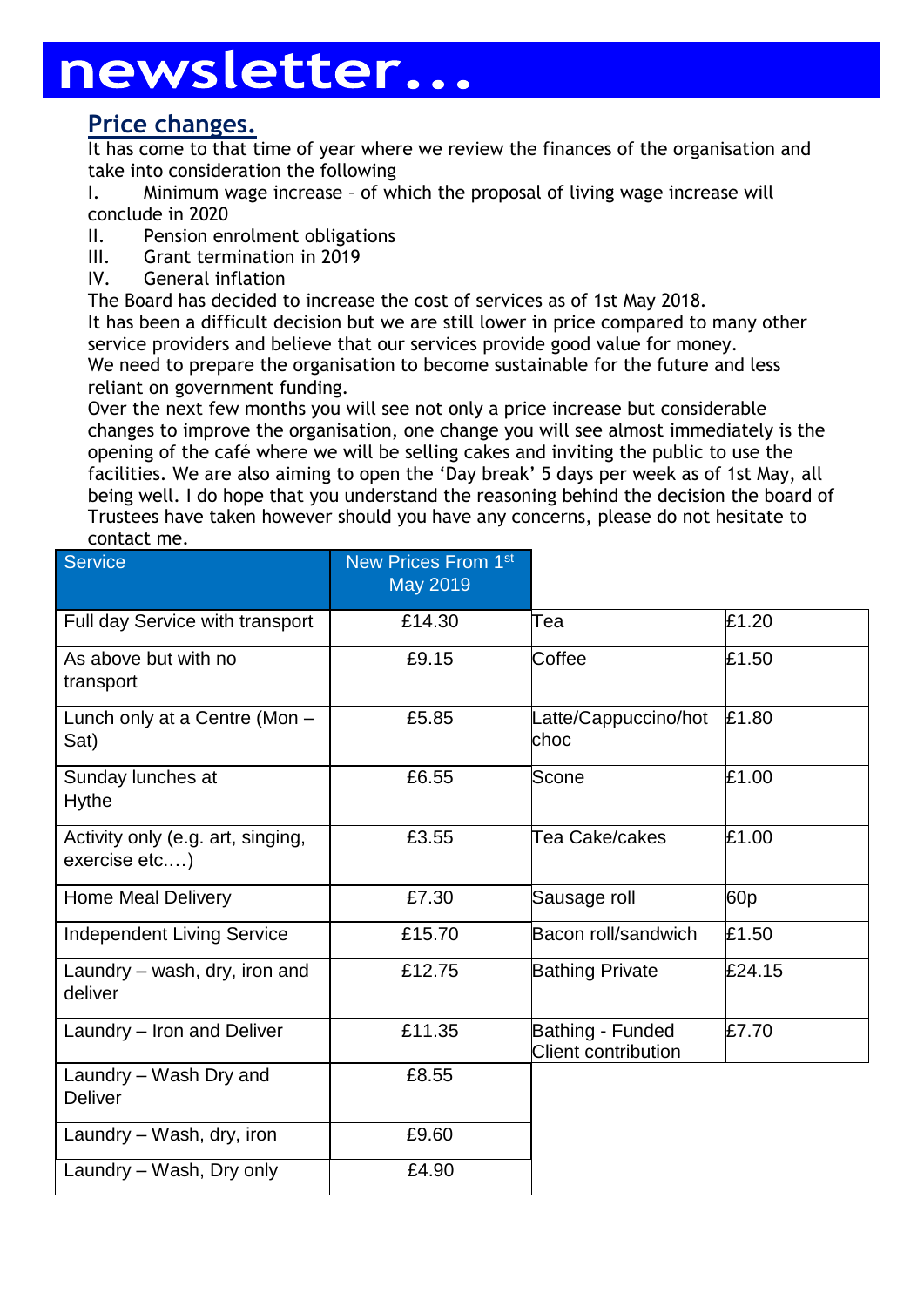# newsletter...

# **Price changes.**

It has come to that time of year where we review the finances of the organisation and take into consideration the following

I. Minimum wage increase – of which the proposal of living wage increase will conclude in 2020

- II. Pension enrolment obligations
- III. Grant termination in 2019
- IV. General inflation

The Board has decided to increase the cost of services as of 1st May 2018.

It has been a difficult decision but we are still lower in price compared to many other service providers and believe that our services provide good value for money. We need to prepare the organisation to become sustainable for the future and less reliant on government funding.

Over the next few months you will see not only a price increase but considerable changes to improve the organisation, one change you will see almost immediately is the opening of the café where we will be selling cakes and inviting the public to use the facilities. We are also aiming to open the 'Day break' 5 days per week as of 1st May, all being well. I do hope that you understand the reasoning behind the decision the board of Trustees have taken however should you have any concerns, please do not hesitate to contact me.

| <b>Service</b>                                     | New Prices From 1st<br>May 2019 |                                                |        |
|----------------------------------------------------|---------------------------------|------------------------------------------------|--------|
| Full day Service with transport                    | £14.30                          | Tea                                            | £1.20  |
| As above but with no<br>transport                  | £9.15                           | Coffee                                         | £1.50  |
| Lunch only at a Centre (Mon -<br>Sat)              | £5.85                           | Latte/Cappuccino/hot<br>choc                   | £1.80  |
| Sunday lunches at<br><b>Hythe</b>                  | £6.55                           | Scone                                          | £1.00  |
| Activity only (e.g. art, singing,<br>exercise etc) | £3.55                           | Tea Cake/cakes                                 | £1.00  |
| <b>Home Meal Delivery</b>                          | £7.30                           | Sausage roll                                   | 60p    |
| <b>Independent Living Service</b>                  | £15.70                          | Bacon roll/sandwich                            | £1.50  |
| Laundry – wash, dry, iron and<br>deliver           | £12.75                          | <b>Bathing Private</b>                         | £24.15 |
| Laundry - Iron and Deliver                         | £11.35                          | Bathing - Funded<br><b>Client contribution</b> | £7.70  |
| Laundry - Wash Dry and<br><b>Deliver</b>           | £8.55                           |                                                |        |
| Laundry – Wash, dry, iron                          | £9.60                           |                                                |        |
| Laundry – Wash, Dry only                           | £4.90                           |                                                |        |